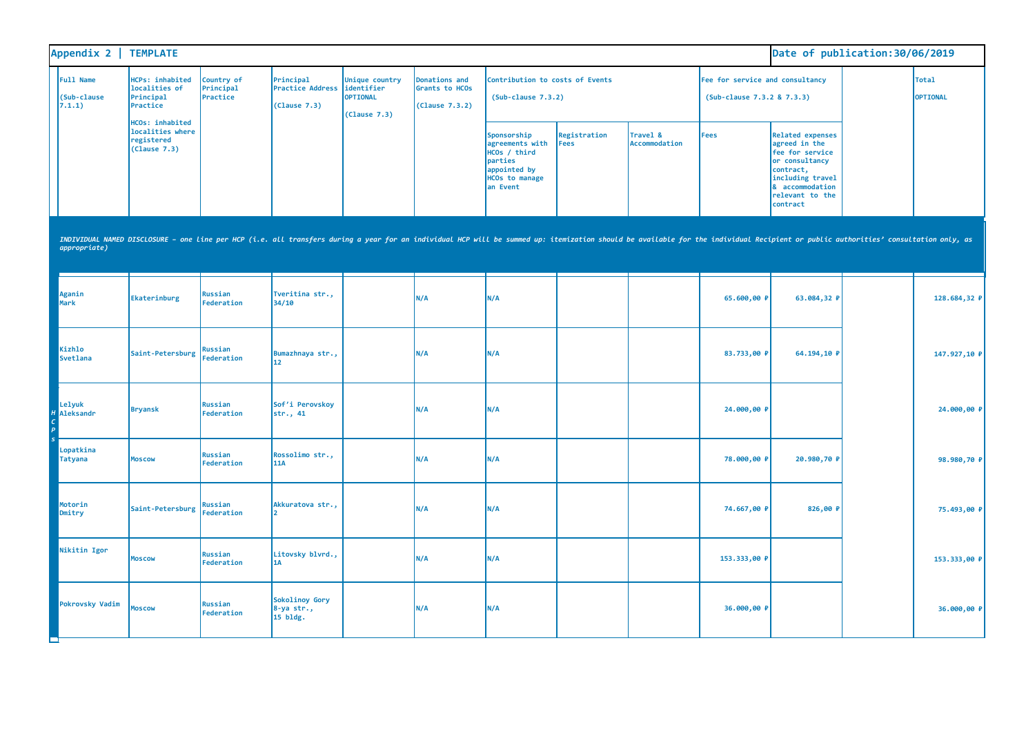| Appendix 2   TEMPLATE                     |                                                                                                                                                                                                                                |                                     |                                                      |                                                          |                                                   |                                                                                                                |                             |                           |                                                               | Date of publication: 30/06/2019                                                                                                                                  |                                 |
|-------------------------------------------|--------------------------------------------------------------------------------------------------------------------------------------------------------------------------------------------------------------------------------|-------------------------------------|------------------------------------------------------|----------------------------------------------------------|---------------------------------------------------|----------------------------------------------------------------------------------------------------------------|-----------------------------|---------------------------|---------------------------------------------------------------|------------------------------------------------------------------------------------------------------------------------------------------------------------------|---------------------------------|
| <b>Full Name</b><br>(Sub-clause<br>7.1.1) | <b>HCPs: inhabited</b><br>localities of<br>Principal<br>Practice                                                                                                                                                               | Country of<br>Principal<br>Practice | Principal<br><b>Practice Address</b><br>(Clause 7.3) | Unique country<br>identifier<br>OPTIONAL<br>(Clause 7.3) | Donations and<br>Grants to HCOs<br>(Clause 7.3.2) | Contribution to costs of Events<br>$(Sub-clause 7.3.2)$                                                        |                             |                           | Fee for service and consultancy<br>(Sub-clause 7.3.2 & 7.3.3) |                                                                                                                                                                  | <b>Total</b><br><b>OPTIONAL</b> |
|                                           | <b>HCOs: inhabited</b><br>localities where<br>registered<br>(Clause 7.3)                                                                                                                                                       |                                     |                                                      |                                                          |                                                   | Sponsorship<br>agreements with<br>HCOs / third<br>parties<br>appointed by<br><b>HCOs to manage</b><br>an Event | Registration<br><b>Fees</b> | Travel &<br>Accommodation | <b>Fees</b>                                                   | <b>Related expenses</b><br>agreed in the<br>fee for service<br>or consultancy<br>contract,<br>including travel<br>& accommodation<br>relevant to the<br>contract |                                 |
| appropriate)                              | INDIVIDUAL NAMED DISCLOSURE - one line per HCP (i.e. all transfers during a year for an individual HCP will be summed up: itemization should be available for the individual Recipient or public authorities' consultation onl |                                     |                                                      |                                                          |                                                   |                                                                                                                |                             |                           |                                                               |                                                                                                                                                                  |                                 |
| Aganin<br>Mark                            | Ekaterinburg                                                                                                                                                                                                                   | Russian<br>Federation               | Tveritina str.,<br>34/10                             |                                                          | N/A                                               | N/A                                                                                                            |                             |                           | 65.600,00 P                                                   | 63.084,32 P                                                                                                                                                      | 128.684,32 P                    |
| Kizhlo<br>Svetlana                        | Saint-Petersburg                                                                                                                                                                                                               | <b>Russian</b><br>Federation        | Bumazhnaya str.,<br>12                               |                                                          | N/A                                               | N/A                                                                                                            |                             |                           | 83.733,00 P                                                   | 64.194,10 P                                                                                                                                                      | 147.927,10 P                    |
| Lelyuk<br><b>H</b> Aleksandr              | <b>Bryansk</b>                                                                                                                                                                                                                 | Russian<br>Federation               | Sof'i Perovskoy<br>str., 41                          |                                                          | N/A                                               | N/A                                                                                                            |                             |                           | 24.000,00 P                                                   |                                                                                                                                                                  | 24.000,00 P                     |
| Lopatkina<br><b>Tatyana</b>               | <b>Moscow</b>                                                                                                                                                                                                                  | Russian<br>Federation               | Rossolimo str.,<br>11A                               |                                                          | N/A                                               | N/A                                                                                                            |                             |                           | 78.000,00 P                                                   | 20.980,70 P                                                                                                                                                      | 98.980,70 ₽                     |
| Motorin<br>Dmitry                         | Saint-Petersburg                                                                                                                                                                                                               | Russian<br><b>Federation</b>        | Akkuratova str.,                                     |                                                          | N/A                                               | N/A                                                                                                            |                             |                           | 74.667,00 P                                                   | 826,00 P                                                                                                                                                         | 75.493,00 ₽                     |
| Nikitin Igor                              | Moscow                                                                                                                                                                                                                         | <b>Russian</b><br>Federation        | Litovsky blvrd.,<br>1A                               |                                                          | N/A                                               | N/A                                                                                                            |                             |                           | 153.333,00 P                                                  |                                                                                                                                                                  | 153.333,00 P                    |
| <b>Pokrovsky Vadim</b>                    | <b>Moscow</b>                                                                                                                                                                                                                  | Russian<br>Federation               | Sokolinoy Gory<br>8-ya str.,<br>15 bldg.             |                                                          | N/A                                               | N/A                                                                                                            |                             |                           | 36.000,00 P                                                   |                                                                                                                                                                  | 36.000,00 P                     |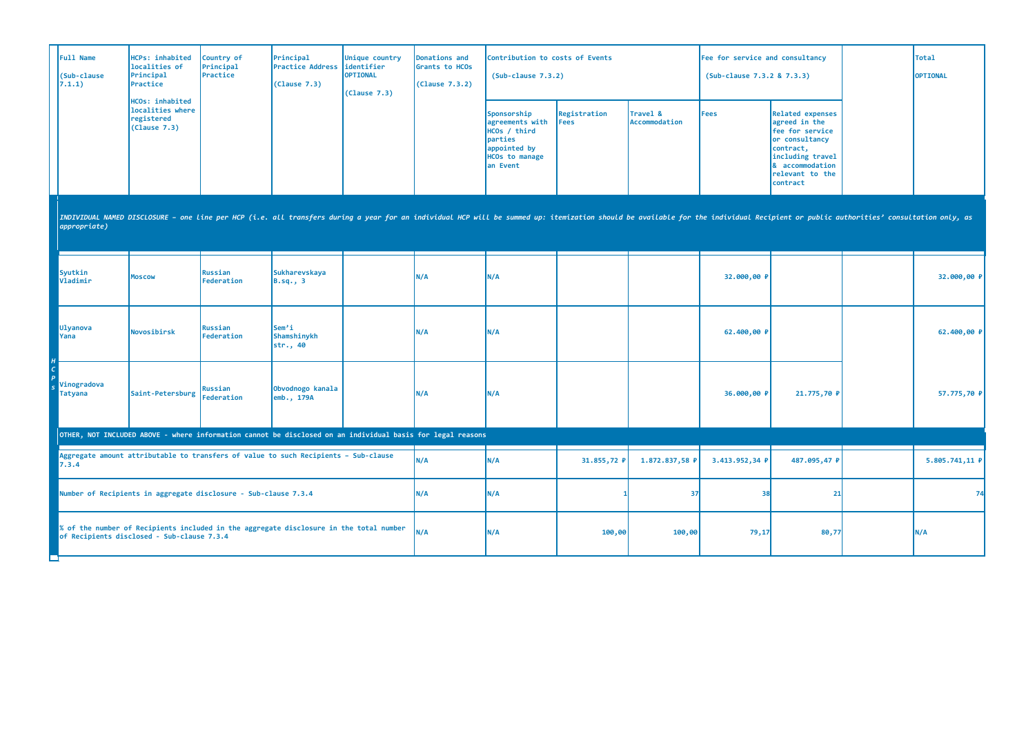| <b>Full Name</b><br>(Sub-clause<br>7.1.1)                                                                                            | HCPs: inhabited<br>localities of<br>Principal<br>Practice                | Country of<br>Principal<br>Practice | Principal<br><b>Practice Address</b><br>(Clause 7.3)                                                                                                                                                                           | Unique country<br>identifier<br>OPTIONAL<br>(Clause 7.3) | Donations and<br>Grants to HCOs<br>(Clause 7.3.2) | Contribution to costs of Events<br>$(Sub-clause 7.3.2)$                                                        |                             |                           | Fee for service and consultancy<br>(Sub-clause 7.3.2 & 7.3.3) |                                                                                                                                                                  | <b>Total</b><br>OPTIONAL |
|--------------------------------------------------------------------------------------------------------------------------------------|--------------------------------------------------------------------------|-------------------------------------|--------------------------------------------------------------------------------------------------------------------------------------------------------------------------------------------------------------------------------|----------------------------------------------------------|---------------------------------------------------|----------------------------------------------------------------------------------------------------------------|-----------------------------|---------------------------|---------------------------------------------------------------|------------------------------------------------------------------------------------------------------------------------------------------------------------------|--------------------------|
|                                                                                                                                      | <b>HCOs: inhabited</b><br>localities where<br>registered<br>(Clause 7.3) |                                     |                                                                                                                                                                                                                                |                                                          |                                                   | Sponsorship<br>agreements with<br>HCOs / third<br>parties<br>appointed by<br><b>HCOs to manage</b><br>an Event | Registration<br><b>Fees</b> | Travel &<br>Accommodation | <b>Fees</b>                                                   | <b>Related expenses</b><br>agreed in the<br>fee for service<br>or consultancy<br>contract,<br>including travel<br>& accommodation<br>relevant to the<br>contract |                          |
| appropriate)                                                                                                                         |                                                                          |                                     | INDIVIDUAL NAMED DISCLOSURE - one line per HCP (i.e. all transfers during a year for an individual HCP will be summed up: itemization should be available for the individual Recipient or public authorities' consultation onl |                                                          |                                                   |                                                                                                                |                             |                           |                                                               |                                                                                                                                                                  |                          |
| Syutkin<br>Vladimir                                                                                                                  | <b>Moscow</b>                                                            | <b>Russian</b><br>Federation        | <b>Sukharevskaya</b><br>B.sq., 3                                                                                                                                                                                               |                                                          | N/A                                               | N/A                                                                                                            |                             |                           | 32.000,00 P                                                   |                                                                                                                                                                  | 32.000,00 P              |
| Ulyanova<br>Yana                                                                                                                     | Novosibirsk                                                              | Russian<br>Federation               | Sem'i<br>Shamshinykh<br>str., 40                                                                                                                                                                                               |                                                          | N/A                                               | N/A                                                                                                            |                             |                           | 62.400,00 P                                                   |                                                                                                                                                                  | 62.400,00 P              |
| Vinogradova<br><b>Tatyana</b>                                                                                                        | Saint-Petersburg                                                         | Russian<br><b>Federation</b>        | Obvodnogo kanala<br>emb., 179A                                                                                                                                                                                                 |                                                          | N/A                                               | N/A                                                                                                            |                             |                           | 36.000,00 P                                                   | 21.775,70 P                                                                                                                                                      | 57.775,70 ₽              |
|                                                                                                                                      |                                                                          |                                     | OTHER, NOT INCLUDED ABOVE - where information cannot be disclosed on an individual basis for legal reasons                                                                                                                     |                                                          |                                                   |                                                                                                                |                             |                           |                                                               |                                                                                                                                                                  |                          |
| 7.3.4                                                                                                                                |                                                                          |                                     | Aggregate amount attributable to transfers of value to such Recipients - Sub-clause                                                                                                                                            |                                                          | N/A                                               | N/A                                                                                                            | 31.855,72 P                 | 1.872.837,58 P            | 3.413.952,34 P                                                | 487.095,47 P                                                                                                                                                     | 5.805.741,11 P           |
|                                                                                                                                      | Number of Recipients in aggregate disclosure - Sub-clause 7.3.4          |                                     |                                                                                                                                                                                                                                |                                                          | N/A                                               | N/A                                                                                                            |                             | 37                        | 38                                                            | 21                                                                                                                                                               | 74                       |
| % of the number of Recipients included in the aggregate disclosure in the total number<br>of Recipients disclosed - Sub-clause 7.3.4 |                                                                          |                                     |                                                                                                                                                                                                                                |                                                          | N/A                                               | N/A                                                                                                            | 100,00                      | 100,00                    | 79,17                                                         | 80,77                                                                                                                                                            | N/A                      |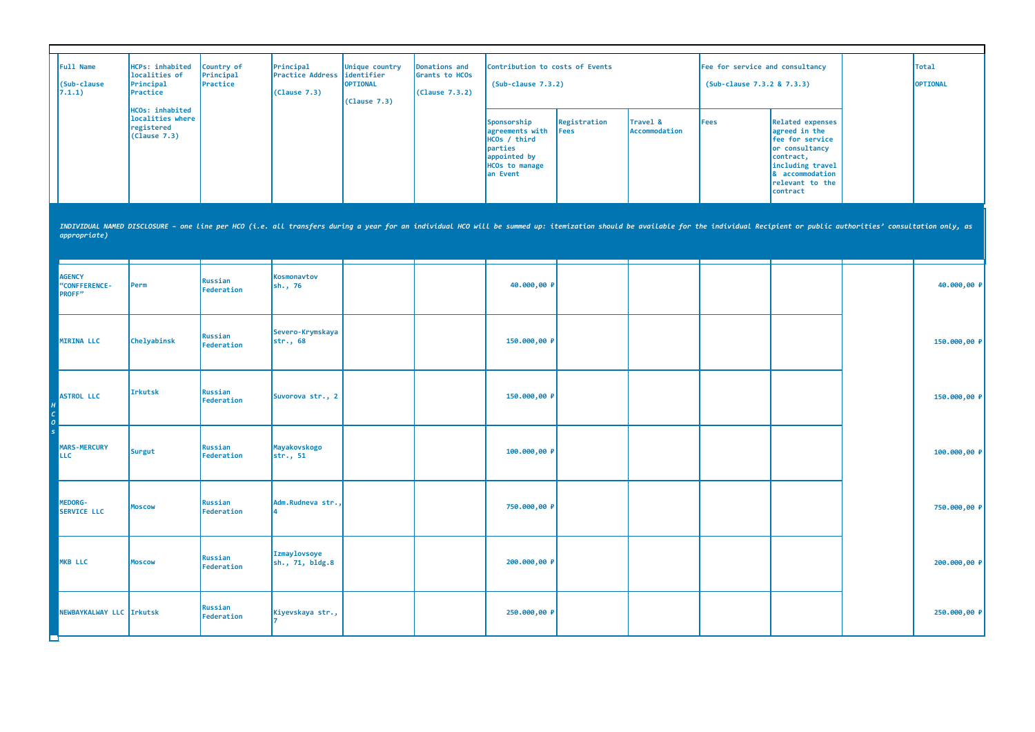| Full Name<br>(Sub-clause)<br>7.1.1) | HCPs: inhabited<br>localities of<br>Principal<br>Practice         | Country of<br>Principal<br>Practice | Principal<br><b>Practice Address lidentifier</b><br>(Clause 7.3) | Unique country<br><b>OPTIONAL</b><br>(Clause 7.3) | Donations and<br>Grants to HCOs<br>(Clause 7.3.2) | Contribution to costs of Events<br>$(Sub-clause 7.3.2)$                                                        |                      |                                  | Fee for service and consultancy<br>(Sub-clause 7.3.2 & 7.3.3) |                                                                                                                                                                  | <b>Total</b><br><b>OPTIONAL</b> |
|-------------------------------------|-------------------------------------------------------------------|-------------------------------------|------------------------------------------------------------------|---------------------------------------------------|---------------------------------------------------|----------------------------------------------------------------------------------------------------------------|----------------------|----------------------------------|---------------------------------------------------------------|------------------------------------------------------------------------------------------------------------------------------------------------------------------|---------------------------------|
|                                     | HCOs: inhabited<br>localities where<br>registered<br>(Clause 7.3) |                                     |                                                                  |                                                   |                                                   | Sponsorship<br>agreements with<br>HCOs / third<br>parties<br>appointed by<br><b>HCOs to manage</b><br>an Event | Registration<br>Fees | Travel &<br><b>Accommodation</b> | <b>Fees</b>                                                   | Related expenses<br>agreed in the<br><b>fee for service</b><br>or consultancy<br>contract,<br>including travel<br>8 accommodation<br>relevant to the<br>contract |                                 |

| appropriate)                                     |                |                       |                                 |  |              |  |  |              |
|--------------------------------------------------|----------------|-----------------------|---------------------------------|--|--------------|--|--|--------------|
| <b>AGENCY</b><br>"CONFFERENCE-<br><b>PROFF</b> " | Perm           | Russian<br>Federation | Kosmonavtov<br>sh., 76          |  | 40.000,00 P  |  |  | 40.000,00 P  |
| MIRINA LLC                                       | Chelyabinsk    | Russian<br>Federation | Severo-Krymskaya<br>str., 68    |  | 150.000,00 P |  |  | 150.000,00 P |
| ASTROL LLC                                       | <b>Irkutsk</b> | Russian<br>Federation | Suvorova str., 2                |  | 150.000,00 P |  |  | 150.000,00 P |
| <b>MARS-MERCURY</b><br><b>LLC</b>                | Surgut         | Russian<br>Federation | Mayakovskogo<br>str., 51        |  | 100.000,00 P |  |  | 100.000,00 P |
| MEDORG-<br>SERVICE LLC                           | Moscow         | Russian<br>Federation | Adm.Rudneva str.,               |  | 750.000,00 P |  |  | 750.000,00 P |
| MKB LLC                                          | Moscow         | Russian<br>Federation | Izmaylovsoye<br>sh., 71, bldg.8 |  | 200.000,00 P |  |  | 200.000,00 P |
| NEWBAYKALWAY LLC Irkutsk                         |                | Russian<br>Federation | Kiyevskaya str.,                |  | 250.000,00 P |  |  | 250.000,00 P |

INDIVIDUAL NAMED DISCLOSURE - one line per HCO (i.e. all transfers during a year for an individual HCO will be summed up: itemization should be available for the individual Recipient or public authorities' consultation onl *appropriate)*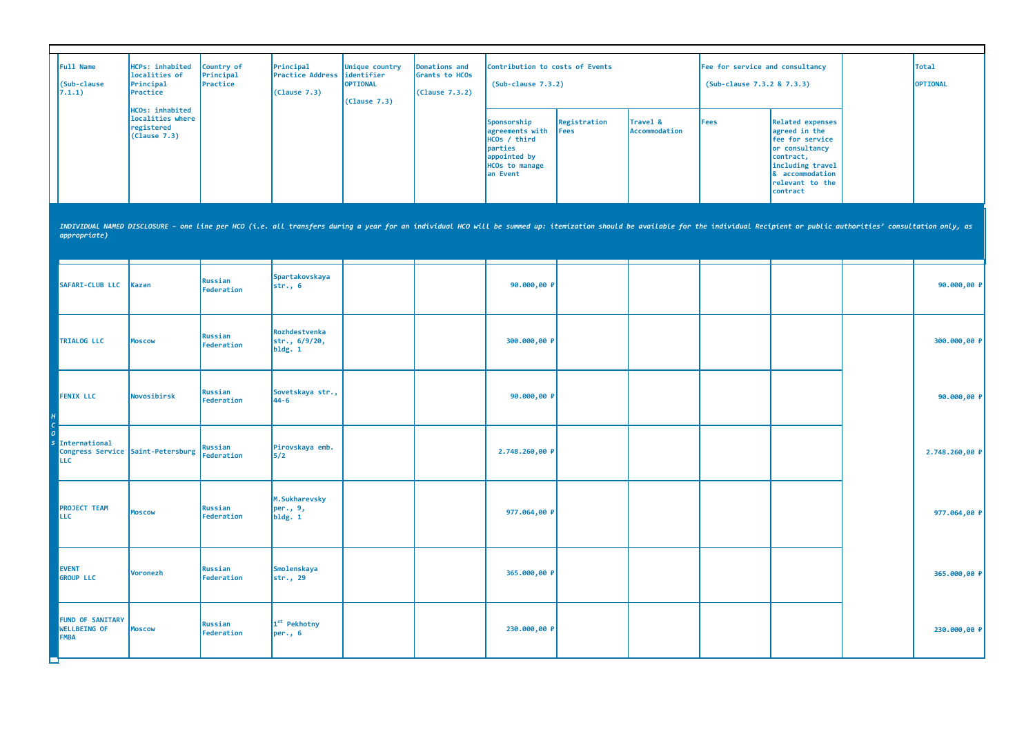| Full Name<br>(Sub-clause<br>7.1.1) | HCPs: inhabited<br>localities of<br>Principal<br>Practice         | Country of<br>Principal<br>Practice | Principal<br><b>Practice Address identifier</b><br>(Clause 7.3) | Unique country<br><b>OPTIONAL</b><br>(Clause 7.3) | Donations and<br>Grants to HCOs<br>(Clause 7.3.2) | Contribution to costs of Events<br>$(Sub-clause 7.3.2)$                                                         |                              |                                  | Fee for service and consultancy<br>(Sub-clause 7.3.2 & 7.3.3) |                                                                                                                                                           | <b>Total</b><br><b>OPTIONAL</b> |
|------------------------------------|-------------------------------------------------------------------|-------------------------------------|-----------------------------------------------------------------|---------------------------------------------------|---------------------------------------------------|-----------------------------------------------------------------------------------------------------------------|------------------------------|----------------------------------|---------------------------------------------------------------|-----------------------------------------------------------------------------------------------------------------------------------------------------------|---------------------------------|
|                                    | HCOs: inhabited<br>localities where<br>registered<br>(Clause 7.3) |                                     |                                                                 |                                                   |                                                   | Sponsorship<br>agreements with<br>HCOs / third<br>parties<br>appointed by<br><b>HCOs to manage</b><br>lan Event | Registration<br><b>IFees</b> | Travel &<br><b>Accommodation</b> | Fees                                                          | Related expenses<br>agreed in the<br>fee for service<br>or consultancy<br>contract,<br>including travel<br>8 accommodation<br>relevant to the<br>contract |                                 |

INDIVIDUAL NAMED DISCLOSURE - one line per HCO (i.e. all transfers during a year for an individual HCO will be summed up: itemization should be available for the individual Recipient or public authorities' consultation onl

| appropriate)                                                                       |               |                       |                                           |  |                |  |  |                |
|------------------------------------------------------------------------------------|---------------|-----------------------|-------------------------------------------|--|----------------|--|--|----------------|
| SAFARI-CLUB LLC                                                                    | Kazan         | Russian<br>Federation | Spartakovskaya<br>str., 6                 |  | 90.000,00 P    |  |  | 90.000,00 P    |
| <b>TRIALOG LLC</b>                                                                 | <b>Moscow</b> | Russian<br>Federation | Rozhdestvenka<br>str., 6/9/20,<br>bldg. 1 |  | 300.000,00 P   |  |  | 300.000,00 P   |
| <b>FENIX LLC</b>                                                                   | Novosibirsk   | Russian<br>Federation | Sovetskaya str.,<br>$44 - 6$              |  | 90.000,00 P    |  |  | 90.000,00 P    |
| International<br>International<br>Congress Service Saint-Petersburg Russian<br>LLC |               |                       | Pirovskaya emb.<br>5/2                    |  | 2.748.260,00 P |  |  | 2.748.260,00 P |
| <b>PROJECT TEAM</b><br><b>LLC</b>                                                  | <b>Moscow</b> | Russian<br>Federation | M.Sukharevsky<br>per., 9,<br>bldg. 1      |  | 977.064,00 P   |  |  | 977.064,00 ₽   |
| <b>EVENT</b><br><b>GROUP LLC</b>                                                   | Voronezh      | Russian<br>Federation | Smolenskaya<br>str., 29                   |  | 365.000,00 P   |  |  | 365.000,00 P   |
| <b>FUND OF SANITARY</b><br><b>WELLBEING OF</b><br>FMBA                             | <b>Moscow</b> | Russian<br>Federation | 1 <sup>st</sup> Pekhotny<br>per., 6       |  | 230.000,00 P   |  |  | 230.000,00 P   |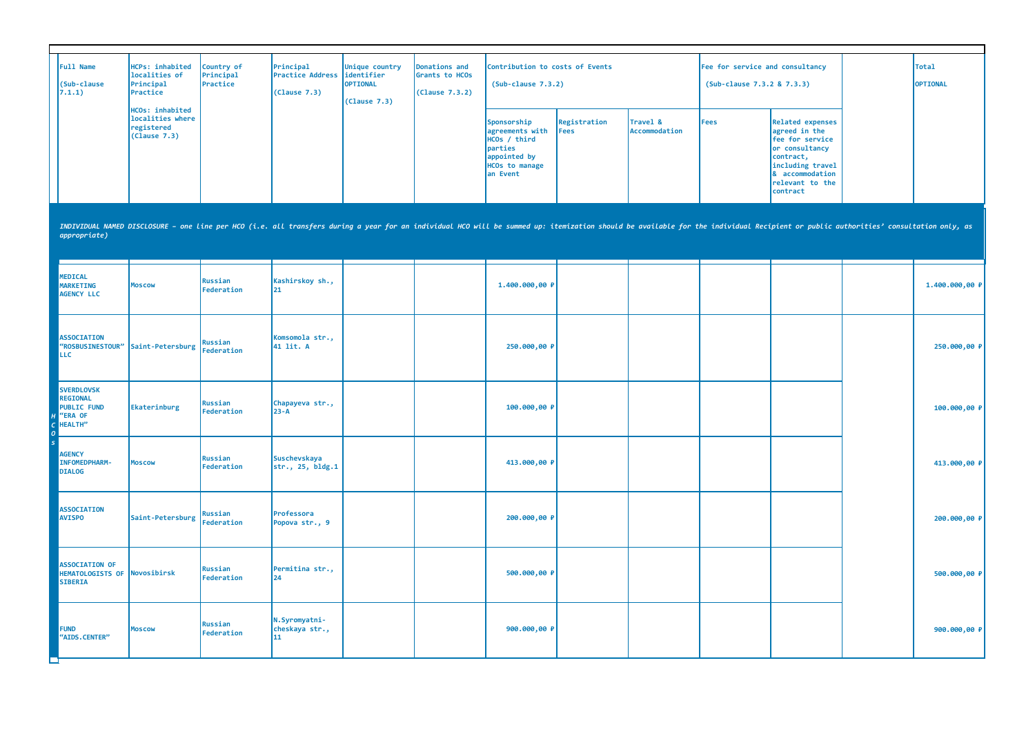| <b>Full Name</b><br>(Sub-clause<br>7.1.1)                                                        | <b>HCPs: inhabited</b><br>localities of<br>Principal<br>Practice  | Country of<br>Principal<br>Practice | Principal<br><b>Practice Address</b><br>(Clause 7.3) | Unique country<br>identifier<br><b>OPTIONAL</b><br>(Clause 7.3) | <b>Donations and</b><br>Grants to HCOs<br>(Clause 7.3.2) | Contribution to costs of Events<br>$(Sub-clause 7.3.2)$                                                        |                             |                           | Fee for service and consultancy<br>(Sub-clause 7.3.2 & 7.3.3) |                                                                                                                                                                                                                                | Total<br><b>OPTIONAL</b> |
|--------------------------------------------------------------------------------------------------|-------------------------------------------------------------------|-------------------------------------|------------------------------------------------------|-----------------------------------------------------------------|----------------------------------------------------------|----------------------------------------------------------------------------------------------------------------|-----------------------------|---------------------------|---------------------------------------------------------------|--------------------------------------------------------------------------------------------------------------------------------------------------------------------------------------------------------------------------------|--------------------------|
|                                                                                                  | HCOs: inhabited<br>localities where<br>registered<br>(Clause 7.3) |                                     |                                                      |                                                                 |                                                          | Sponsorship<br>agreements with<br>HCOs / third<br>parties<br>appointed by<br><b>HCOs to manage</b><br>an Event | Registration<br><b>Fees</b> | Travel &<br>Accommodation | Fees                                                          | <b>Related expenses</b><br>agreed in the<br>fee for service<br>or consultancy<br>contract,<br>including travel<br>& accommodation<br>relevant to the<br>contract                                                               |                          |
| appropriate)                                                                                     |                                                                   |                                     |                                                      |                                                                 |                                                          |                                                                                                                |                             |                           |                                                               | INDIVIDUAL NAMED DISCLOSURE - one line per HCO (i.e. all transfers during a year for an individual HCO will be summed up: itemization should be available for the individual Recipient or public authorities' consultation onl |                          |
| <b>MEDICAL</b><br><b>MARKETING</b><br><b>AGENCY LLC</b>                                          | <b>Moscow</b>                                                     | <b>Russian</b><br>Federation        | Kashirskoy sh.,<br>21                                |                                                                 |                                                          | 1.400.000,00 P                                                                                                 |                             |                           |                                                               |                                                                                                                                                                                                                                | 1.400.000,00 P           |
| <b>ASSOCIATION</b><br><b>LLC</b>                                                                 | "ROSBUSINESTOUR" Saint-Petersburg                                 | Russian<br><b>Federation</b>        | Komsomola str.,<br>41 lit. A                         |                                                                 |                                                          | 250.000,00 P                                                                                                   |                             |                           |                                                               |                                                                                                                                                                                                                                | 250.000,00 ₽             |
| <b>SVERDLOVSK</b><br><b>REGIONAL</b><br><b>PUBLIC FUND</b><br>H <sup>"</sup> ERA OF<br>C HEALTH" | Ekaterinburg                                                      | Russian<br>Federation               | Chapayeva str.,<br>$23 - A$                          |                                                                 |                                                          | 100.000,00 P                                                                                                   |                             |                           |                                                               |                                                                                                                                                                                                                                | 100.000,00 P             |
| <b>AGENCY</b><br><b>INFOMEDPHARM-</b><br><b>DIALOG</b>                                           | <b>Moscow</b>                                                     | <b>Russian</b><br>Federation        | <b>Suschevskaya</b><br>str., 25, bldg.1              |                                                                 |                                                          | 413.000,00 P                                                                                                   |                             |                           |                                                               |                                                                                                                                                                                                                                | 413.000,00 P             |
| <b>ASSOCIATION</b><br><b>AVISPO</b>                                                              | Saint-Petersburg                                                  | <b>Russian</b><br><b>Federation</b> | Professora<br>Popova str., 9                         |                                                                 |                                                          | 200.000,00 P                                                                                                   |                             |                           |                                                               |                                                                                                                                                                                                                                | 200.000,00 P             |
| <b>ASSOCIATION OF</b><br>HEMATOLOGISTS OF Novosibirsk<br><b>SIBERIA</b>                          |                                                                   | <b>Russian</b><br>Federation        | Permitina str.,<br>24                                |                                                                 |                                                          | 500.000,00 P                                                                                                   |                             |                           |                                                               |                                                                                                                                                                                                                                | 500.000,00 P             |
| <b>FUND</b><br>"AIDS.CENTER"                                                                     | <b>Moscow</b>                                                     | <b>Russian</b><br>Federation        | N.Syromyatni-<br>cheskaya str.,<br>11                |                                                                 |                                                          | 900.000,00 P                                                                                                   |                             |                           |                                                               |                                                                                                                                                                                                                                | 900.000,00 P             |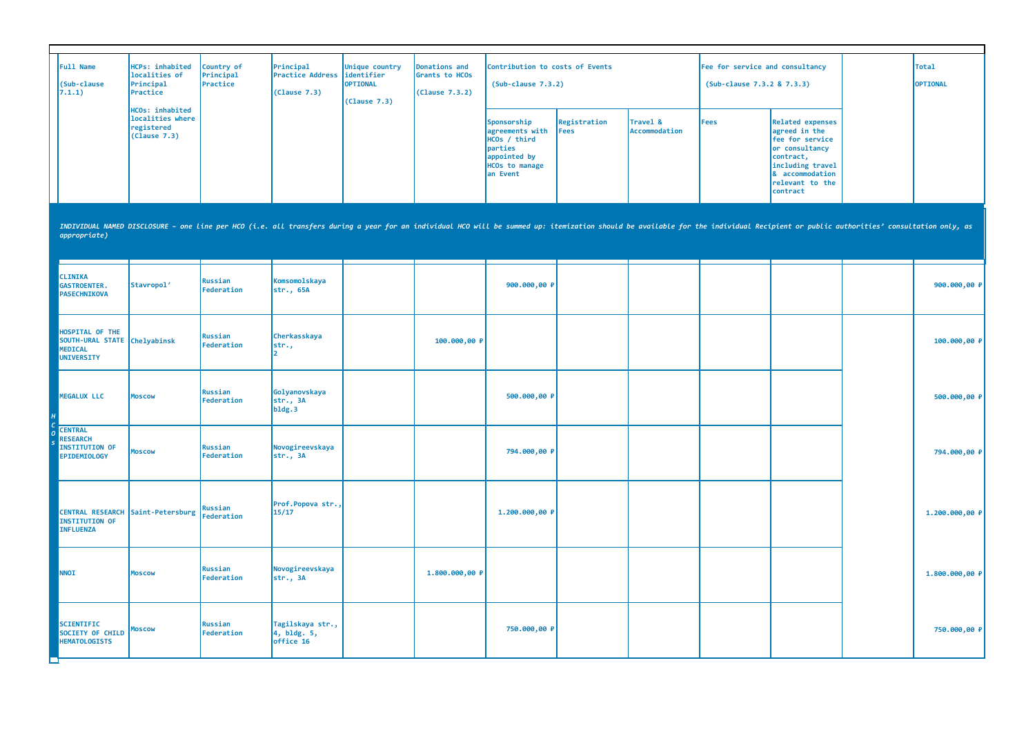| Full Name<br>(Sub-clause<br>7.1.1)                                                | HCPs: inhabited<br>localities of<br>Principal<br>Practice<br>HCOs: inhabited                                                                                                                                                   | Country of<br>Principal<br>Practice | Principal<br><b>Practice Address</b><br>(Clause 7.3) | Unique country<br>identifier<br>OPTIONAL<br>(Cause 7.3) | Donations and<br>Grants to HCOs<br>(Clause 7.3.2) | Contribution to costs of Events<br>$(Sub-clause 7.3.2)$                                                        |                      |                           | Fee for service and consultancy<br>(Sub-clause 7.3.2 & 7.3.3) |                                                                                                                                                                  | Total<br>OPTIONAL |
|-----------------------------------------------------------------------------------|--------------------------------------------------------------------------------------------------------------------------------------------------------------------------------------------------------------------------------|-------------------------------------|------------------------------------------------------|---------------------------------------------------------|---------------------------------------------------|----------------------------------------------------------------------------------------------------------------|----------------------|---------------------------|---------------------------------------------------------------|------------------------------------------------------------------------------------------------------------------------------------------------------------------|-------------------|
|                                                                                   | localities where<br>registered<br>(Clause 7.3)                                                                                                                                                                                 |                                     |                                                      |                                                         |                                                   | Sponsorship<br>agreements with<br>HCOs / third<br>parties<br>appointed by<br><b>HCOs to manage</b><br>an Event | Registration<br>Fees | Travel &<br>Accommodation | <b>Fees</b>                                                   | <b>Related expenses</b><br>agreed in the<br>fee for service<br>or consultancy<br>contract,<br>including travel<br>& accommodation<br>relevant to the<br>contract |                   |
| appropriate)                                                                      | INDIVIDUAL NAMED DISCLOSURE - one line per HCO (i.e. all transfers during a year for an individual HCO will be summed up: itemization should be available for the individual Recipient or public authorities' consultation onl |                                     |                                                      |                                                         |                                                   |                                                                                                                |                      |                           |                                                               |                                                                                                                                                                  |                   |
| <b>CLINIKA</b><br><b>GASTROENTER.</b><br><b>PASECHNIKOVA</b>                      | Stavropol'                                                                                                                                                                                                                     | <b>Russian</b><br>Federation        | Komsomolskaya<br>str., 65A                           |                                                         |                                                   | 900.000,00 P                                                                                                   |                      |                           |                                                               |                                                                                                                                                                  | 900.000,00 P      |
| HOSPITAL OF THE<br>SOUTH-URAL STATE Chelyabinsk<br><b>MEDICAL</b><br>UNIVERSITY   |                                                                                                                                                                                                                                | Russian<br>Federation               | Cherkasskaya<br>str.,                                |                                                         | 100.000,00 P                                      |                                                                                                                |                      |                           |                                                               |                                                                                                                                                                  | 100.000,00 P      |
| <b>MEGALUX LLC</b>                                                                | <b>Moscow</b>                                                                                                                                                                                                                  | <b>Russian</b><br>Federation        | Golyanovskaya<br>str., 3A<br>b1dg.3                  |                                                         |                                                   | 500.000,00 ₽                                                                                                   |                      |                           |                                                               |                                                                                                                                                                  | 500.000,00 P      |
| <b>CENTRAL</b><br><b>RESEARCH</b><br><b>INSTITUTION OF</b><br><b>EPIDEMIOLOGY</b> | <b>Moscow</b>                                                                                                                                                                                                                  | <b>Russian</b><br>Federation        | Novogireevskaya<br>str., 3A                          |                                                         |                                                   | 794.000,00 P                                                                                                   |                      |                           |                                                               |                                                                                                                                                                  | 794.000,00 P      |
| <b>CENTRAL RESEARCH</b><br><b>INSTITUTION OF</b><br><b>INFLUENZA</b>              | Saint-Petersburg                                                                                                                                                                                                               | <b>Russian</b><br><b>Federation</b> | Prof.Popova str.,<br>15/17                           |                                                         |                                                   | 1.200.000,00 P                                                                                                 |                      |                           |                                                               |                                                                                                                                                                  | 1.200.000,00 P    |
| <b>NNOI</b>                                                                       | <b>Moscow</b>                                                                                                                                                                                                                  | <b>Russian</b><br>Federation        | Novogireevskaya<br>str., 3A                          |                                                         | 1.800.000,00 P                                    |                                                                                                                |                      |                           |                                                               |                                                                                                                                                                  | 1.800.000,00 P    |
| <b>SCIENTIFIC</b><br>SOCIETY OF CHILD<br><b>HEMATOLOGISTS</b><br>□                | <b>Moscow</b>                                                                                                                                                                                                                  | Russian<br>Federation               | Tagilskaya str.,<br>4, bldg. 5,<br>office 16         |                                                         |                                                   | 750.000,00 P                                                                                                   |                      |                           |                                                               |                                                                                                                                                                  | 750.000,00 P      |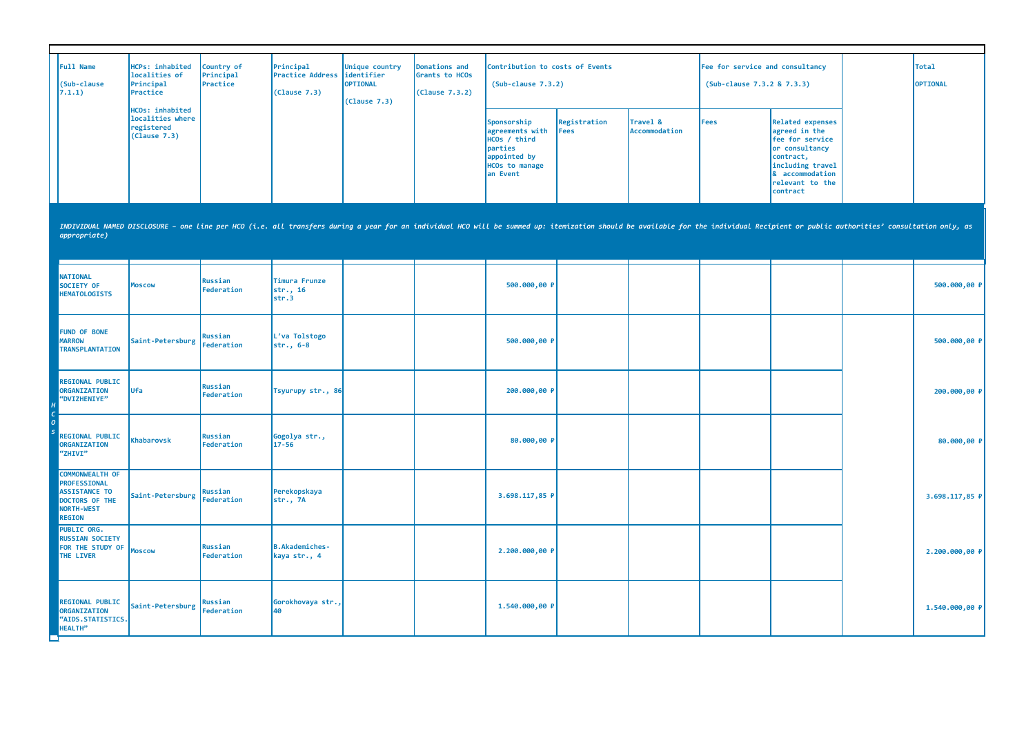| <b>Full Name</b><br>(Sub-clause<br>7.1.1) | HCPs: inhabited<br>localities of<br>Principal<br>Practice                | Country of<br>Principal<br>Practice | Principal<br><b>Practice Address lidentifier</b><br>(Clause 7.3) | Unique country<br><b>OPTIONAL</b><br>(Clause 7.3) | Donations and<br>Grants to HCOs<br>(Clause 7.3.2) | Contribution to costs of Events<br>$(Sub-clause 7.3.2)$                                                        |                              |                           | Fee for service and consultancy<br>(Sub-clause 7.3.2 & 7.3.3) |                                                                                                                                                                         | Total<br><b>OPTIONAL</b> |
|-------------------------------------------|--------------------------------------------------------------------------|-------------------------------------|------------------------------------------------------------------|---------------------------------------------------|---------------------------------------------------|----------------------------------------------------------------------------------------------------------------|------------------------------|---------------------------|---------------------------------------------------------------|-------------------------------------------------------------------------------------------------------------------------------------------------------------------------|--------------------------|
|                                           | <b>HCOs: inhabited</b><br>localities where<br>registered<br>(Clause 7.3) |                                     |                                                                  |                                                   |                                                   | Sponsorship<br>agreements with<br>HCOs / third<br>parties<br>appointed by<br><b>HCOs to manage</b><br>an Event | Registration<br><b>IFees</b> | Travel &<br>Accommodation | Fees                                                          | <b>Related expenses</b><br>agreed in the<br><b>Fee for service</b><br>or consultancy<br>contract,<br>including travel<br>& accommodation<br>relevant to the<br>contract |                          |

| uppi opi tute)                                                                                           |                             |                       |                                       |  |                |  |  |                |
|----------------------------------------------------------------------------------------------------------|-----------------------------|-----------------------|---------------------------------------|--|----------------|--|--|----------------|
| <b>NATIONAL</b><br>SOCIETY OF<br><b>HEMATOLOGISTS</b>                                                    | <b>Moscow</b>               | Russian<br>Federation | Timura Frunze<br>str., 16<br>str.3    |  | 500.000,00 P   |  |  | 500.000,00 P   |
| <b>FUND OF BONE</b><br><b>MARROW</b><br><b>TRANSPLANTATION</b>                                           | Saint-Petersburg Federation | Russian               | L'va Tolstogo<br>$str., 6-8$          |  | 500.000,00 P   |  |  | 500.000,00 P   |
| <b>REGIONAL PUBLIC</b><br>ORGANIZATION<br>"DVIZHENIYE"                                                   | Ufa                         | Russian<br>Federation | Tsyurupy str., 86                     |  | 200.000,00 P   |  |  | 200.000,00 P   |
| <b>REGIONAL PUBLIC</b><br>ORGANIZATION<br>"ZHIVI"                                                        | <b>Khabarovsk</b>           | Russian<br>Federation | Gogolya str.,<br>$17 - 56$            |  | 80.000,00 P    |  |  | 80.000,00 P    |
| <b>COMMONWEALTH OF</b><br>PROFESSIONAL<br><b>ASSISTANCE TO</b><br>DOCTORS OF THE<br>NORTH-WEST<br>REGION | Saint-Petersburg Federation | Russian               | Perekopskaya<br>str., 7A              |  | 3.698.117,85 P |  |  | 3.698.117,85 P |
| <b>PUBLIC ORG.</b><br><b>RUSSIAN SOCIETY</b><br>FOR THE STUDY OF<br>THE LIVER                            | <b>Moscow</b>               | Russian<br>Federation | <b>B.Akademiches-</b><br>kaya str., 4 |  | 2.200.000,00 P |  |  | 2.200.000,00 P |
| <b>REGIONAL PUBLIC</b><br>ORGANIZATION<br>"AIDS.STATISTICS.<br>HEALTH"                                   | Saint-Petersburg Federation | Russian               | Gorokhovaya str.,<br>40               |  | 1.540.000,00 P |  |  | 1.540.000,00 P |

INDIVIDUAL NAMED DISCLOSURE - one line per HCO (i.e. all transfers during a year for an individual HCO will be summed up: itemization should be available for the individual Recipient or public authorities' consultation onl *appropriate)*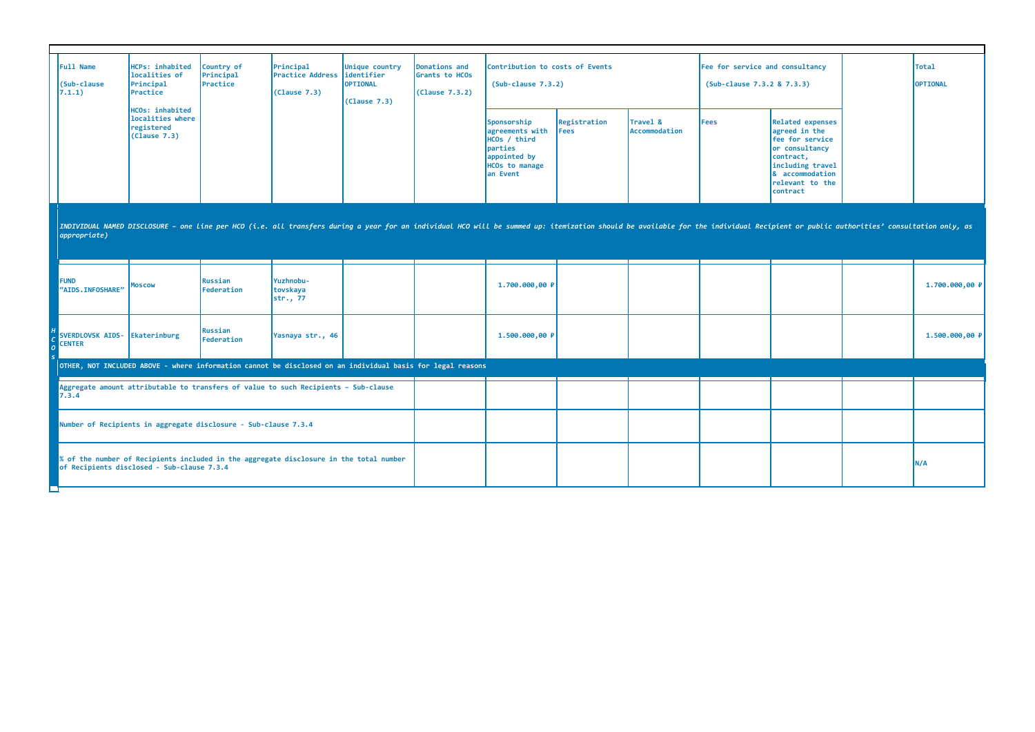| Full Name<br>(Sub-clause<br>7.1.1)                              | HCPs: inhabited<br>localities of<br>Principal<br>Practice                | Country of<br>Principal<br>Practice | Principal<br><b>Practice Address</b><br>(Clause 7.3)                                                       | Unique country<br>identifier<br>OPTIONAL<br>(Clause 7.3) | Donations and<br>Grants to HCOs<br>(Clause 7.3.2) | Contribution to costs of Events<br>$(Sub-clause 7.3.2)$                                                                                                                                                                        |                             |                           | Fee for service and consultancy<br>(Sub-clause 7.3.2 & 7.3.3) |                                                                                                                                                                  | <b>Total</b><br>OPTIONAL |
|-----------------------------------------------------------------|--------------------------------------------------------------------------|-------------------------------------|------------------------------------------------------------------------------------------------------------|----------------------------------------------------------|---------------------------------------------------|--------------------------------------------------------------------------------------------------------------------------------------------------------------------------------------------------------------------------------|-----------------------------|---------------------------|---------------------------------------------------------------|------------------------------------------------------------------------------------------------------------------------------------------------------------------|--------------------------|
|                                                                 | <b>HCOs: inhabited</b><br>localities where<br>registered<br>(Clause 7.3) |                                     |                                                                                                            |                                                          |                                                   | Sponsorship<br>agreements with<br>HCOs / third<br>parties<br>appointed by<br><b>HCOs to manage</b><br>an Event                                                                                                                 | Registration<br><b>Fees</b> | Travel &<br>Accommodation | <b>Fees</b>                                                   | <b>Related expenses</b><br>agreed in the<br>fee for service<br>or consultancy<br>contract,<br>including travel<br>& accommodation<br>relevant to the<br>contract |                          |
| $\vert$ appropriate)                                            |                                                                          |                                     |                                                                                                            |                                                          |                                                   | INDIVIDUAL NAMED DISCLOSURE - one line per HCO (i.e. all transfers during a year for an individual HCO will be summed up: itemization should be available for the individual Recipient or public authorities' consultation onl |                             |                           |                                                               |                                                                                                                                                                  |                          |
| <b>FUND</b><br>"AIDS. INFOSHARE"                                | Moscow                                                                   | <b>Russian</b><br>Federation        | Yuzhnobu-<br>tovskaya<br>str., 77                                                                          |                                                          |                                                   | 1.700.000,00 P                                                                                                                                                                                                                 |                             |                           |                                                               |                                                                                                                                                                  | 1.700.000,00 P           |
| SVERDLOVSK AIDS-<br><b>CENTER</b>                               | Ekaterinburg                                                             | <b>Russian</b><br>Federation        | Yasnaya str., 46                                                                                           |                                                          |                                                   | 1.500.000,00 P                                                                                                                                                                                                                 |                             |                           |                                                               |                                                                                                                                                                  | 1.500.000,00 P           |
|                                                                 |                                                                          |                                     | OTHER, NOT INCLUDED ABOVE - where information cannot be disclosed on an individual basis for legal reasons |                                                          |                                                   |                                                                                                                                                                                                                                |                             |                           |                                                               |                                                                                                                                                                  |                          |
| 7.3.4                                                           |                                                                          |                                     | Aggregate amount attributable to transfers of value to such Recipients - Sub-clause                        |                                                          |                                                   |                                                                                                                                                                                                                                |                             |                           |                                                               |                                                                                                                                                                  |                          |
| Number of Recipients in aggregate disclosure - Sub-clause 7.3.4 |                                                                          |                                     |                                                                                                            |                                                          |                                                   |                                                                                                                                                                                                                                |                             |                           |                                                               |                                                                                                                                                                  |                          |
|                                                                 | of Recipients disclosed - Sub-clause 7.3.4                               |                                     | % of the number of Recipients included in the aggregate disclosure in the total number                     |                                                          |                                                   |                                                                                                                                                                                                                                |                             |                           |                                                               |                                                                                                                                                                  | N/A                      |